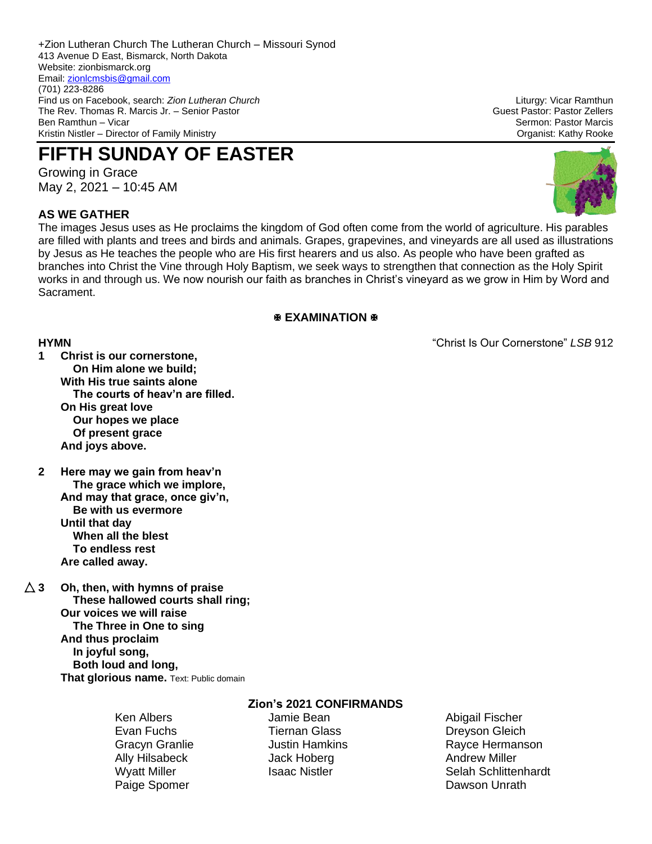+Zion Lutheran Church The Lutheran Church – Missouri Synod 413 Avenue D East, Bismarck, North Dakota Website: zionbismarck.org Email[: zionlcmsbis@gmail.com](mailto:zionlcmsbis@gmail.com) (701) 223-8286 Find us on Facebook, search: *Zion Lutheran Church* Liturgy: Vicar Ramthun Liturgy: Vicar Ramthun The Rev. Thomas R. Marcis Jr. – Senior Pastor Guest Pastor Guest Pastor: Pastor Zellers<br>Ren Ramthun – Vicar Guest Pastor Marcis Kristin Nistler – Director of Family Ministry Channel Channel Channel Channel Channel Channel Channel Channel Channel Channel Channel Channel Channel Channel Channel Channel Channel Channel Channel Channel Channel Channel

# **FIFTH SUNDAY OF EASTER**

Growing in Grace May 2, 2021 – 10:45 AM

### **AS WE GATHER**

The images Jesus uses as He proclaims the kingdom of God often come from the world of agriculture. His parables are filled with plants and trees and birds and animals. Grapes, grapevines, and vineyards are all used as illustrations by Jesus as He teaches the people who are His first hearers and us also. As people who have been grafted as branches into Christ the Vine through Holy Baptism, we seek ways to strengthen that connection as the Holy Spirit works in and through us. We now nourish our faith as branches in Christ's vineyard as we grow in Him by Word and Sacrament.

# **EXAMINATION**

- **1 Christ is our cornerstone, On Him alone we build; With His true saints alone The courts of heav'n are filled. On His great love Our hopes we place Of present grace And joys above.**
- **2 Here may we gain from heav'n The grace which we implore, And may that grace, once giv'n, Be with us evermore Until that day When all the blest To endless rest Are called away.**
- $\triangle$  3 Oh, then, with hymns of praise  **These hallowed courts shall ring; Our voices we will raise The Three in One to sing And thus proclaim In joyful song, Both loud and long, That glorious name.** Text: Public domain

# **Zion's 2021 CONFIRMANDS**

Gracyn Granlie **Gramman Gramman Justin Hamkins** France Rayce Hermanson Wyatt Miller **Isaac Nistler** Selah Schlittenhardt Paige Spomer **Dawson Unrath** 

Sermon: Pastor Marcis



Ken Albers **Matters Communist Communist Communist Communist Communist Communist Communist Communist Communist Communist Communist Communist Communist Communist Communist Communist Communist Communist Communist Communist Co** Evan Fuchs Tiernan Glass Dreyson Gleich Ally Hilsabeck Jack Hoberg Andrew Miller

**HYMN** "Christ Is Our Cornerstone" *LSB* 912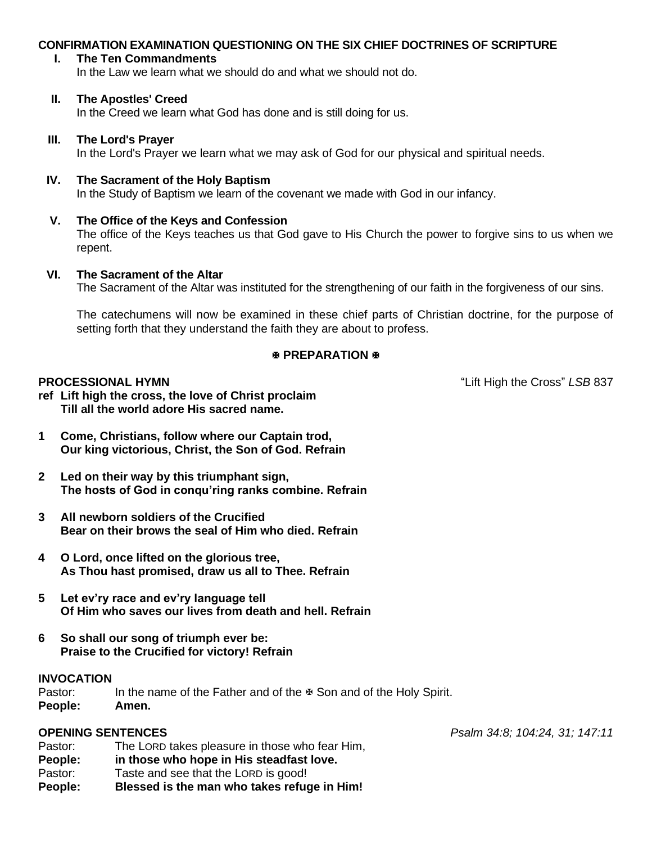### **CONFIRMATION EXAMINATION QUESTIONING ON THE SIX CHIEF DOCTRINES OF SCRIPTURE**

### **I. The Ten Commandments**

In the Law we learn what we should do and what we should not do.

### **II. The Apostles' Creed**

In the Creed we learn what God has done and is still doing for us.

### **III. The Lord's Prayer**

In the Lord's Prayer we learn what we may ask of God for our physical and spiritual needs.

## **IV. The Sacrament of the Holy Baptism**

In the Study of Baptism we learn of the covenant we made with God in our infancy.

### **V. The Office of the Keys and Confession**

The office of the Keys teaches us that God gave to His Church the power to forgive sins to us when we repent.

### **VI. The Sacrament of the Altar**

The Sacrament of the Altar was instituted for the strengthening of our faith in the forgiveness of our sins.

The catechumens will now be examined in these chief parts of Christian doctrine, for the purpose of setting forth that they understand the faith they are about to profess.

# **EXPREPARATION**

**PROCESSIONAL HYMN EXAMPLE THE CROSS ASSESSIONAL HYMN EXAMPLE THE CROSS ASSESS LSB** 837

- **ref Lift high the cross, the love of Christ proclaim Till all the world adore His sacred name.**
- **1 Come, Christians, follow where our Captain trod, Our king victorious, Christ, the Son of God. Refrain**
- **2 Led on their way by this triumphant sign, The hosts of God in conqu'ring ranks combine. Refrain**
- **3 All newborn soldiers of the Crucified Bear on their brows the seal of Him who died. Refrain**
- **4 O Lord, once lifted on the glorious tree, As Thou hast promised, draw us all to Thee. Refrain**
- **5 Let ev'ry race and ev'ry language tell Of Him who saves our lives from death and hell. Refrain**
- **6 So shall our song of triumph ever be: Praise to the Crucified for victory! Refrain**

# **INVOCATION**

Pastor: In the name of the Father and of the  $\mathbb F$  Son and of the Holy Spirit. **People: Amen.**

Pastor: The LORD takes pleasure in those who fear Him, **People: in those who hope in His steadfast love.** Pastor: Taste and see that the LORD is good!<br>**People: Blessed is the man who takes refu People: Blessed is the man who takes refuge in Him!**

**OPENING SENTENCES** *Psalm 34:8; 104:24, 31; 147:11*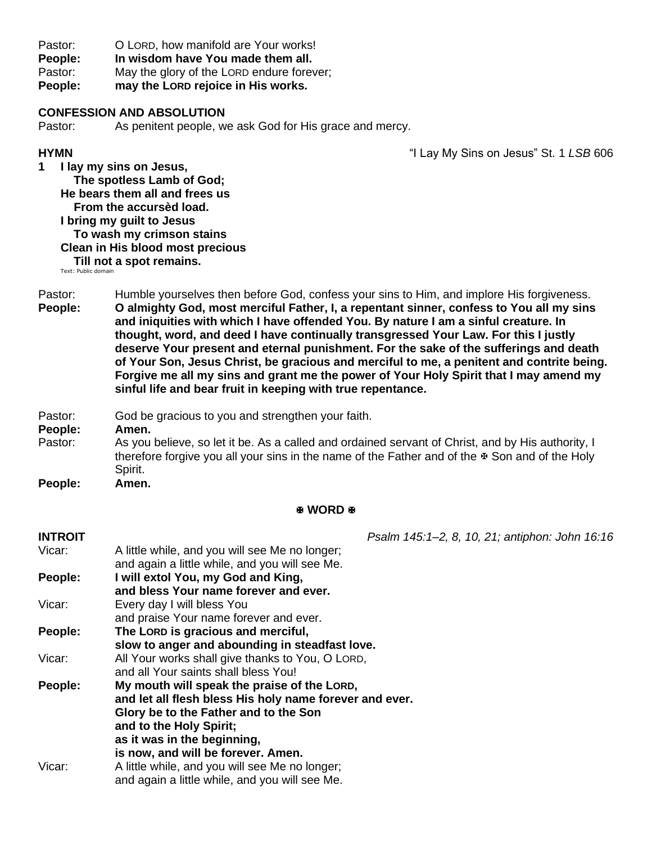Pastor: O LORD, how manifold are Your works!

**People: In wisdom have You made them all.**

Pastor: May the glory of the LORD endure forever;

**People: may the LORD rejoice in His works.**

### **CONFESSION AND ABSOLUTION**

Pastor: As penitent people, we ask God for His grace and mercy.

**HYMN** "I Lay My Sins on Jesus" St. 1 *LSB* 606

**1 I lay my sins on Jesus, The spotless Lamb of God; He bears them all and frees us From the accursèd load. I bring my guilt to Jesus To wash my crimson stains Clean in His blood most precious Till not a spot remains.**

Text: Public domain

Pastor: Humble yourselves then before God, confess your sins to Him, and implore His forgiveness. **People: O almighty God, most merciful Father, I, a repentant sinner, confess to You all my sins and iniquities with which I have offended You. By nature I am a sinful creature. In thought, word, and deed I have continually transgressed Your Law. For this I justly deserve Your present and eternal punishment. For the sake of the sufferings and death of Your Son, Jesus Christ, be gracious and merciful to me, a penitent and contrite being. Forgive me all my sins and grant me the power of Your Holy Spirit that I may amend my sinful life and bear fruit in keeping with true repentance.**

### Pastor: God be gracious to you and strengthen your faith.

- **People: Amen.**
- Pastor: As you believe, so let it be. As a called and ordained servant of Christ, and by His authority, I therefore forgive you all your sins in the name of the Father and of the  $\mathbb F$  Son and of the Holy Spirit.

**People: Amen.**

# **WORD**

**INTROIT** *Psalm 145:1–2, 8, 10, 21; antiphon: John 16:16*

| Vicar:  | A little while, and you will see Me no longer;          |
|---------|---------------------------------------------------------|
|         | and again a little while, and you will see Me.          |
| People: | I will extol You, my God and King,                      |
|         | and bless Your name forever and ever.                   |
| Vicar:  | Every day I will bless You                              |
|         | and praise Your name forever and ever.                  |
| People: | The LORD is gracious and merciful,                      |
|         | slow to anger and abounding in steadfast love.          |
| Vicar:  | All Your works shall give thanks to You, O LORD,        |
|         | and all Your saints shall bless You!                    |
| People: | My mouth will speak the praise of the LORD,             |
|         | and let all flesh bless His holy name forever and ever. |
|         | Glory be to the Father and to the Son                   |
|         | and to the Holy Spirit;                                 |
|         | as it was in the beginning,                             |
|         | is now, and will be forever. Amen.                      |
| Vicar:  | A little while, and you will see Me no longer;          |
|         | and again a little while, and you will see Me.          |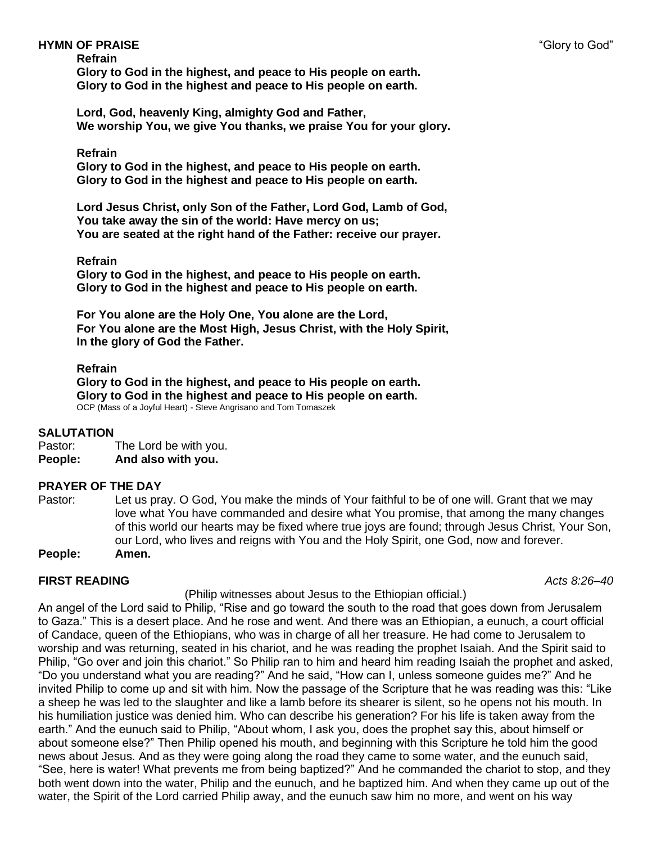# **HYMN OF PRAISE** "Glory to God"

**Refrain**

**Glory to God in the highest, and peace to His people on earth. Glory to God in the highest and peace to His people on earth.** 

**Lord, God, heavenly King, almighty God and Father, We worship You, we give You thanks, we praise You for your glory.**

**Refrain**

**Glory to God in the highest, and peace to His people on earth. Glory to God in the highest and peace to His people on earth.** 

**Lord Jesus Christ, only Son of the Father, Lord God, Lamb of God, You take away the sin of the world: Have mercy on us; You are seated at the right hand of the Father: receive our prayer.** 

**Refrain**

**Glory to God in the highest, and peace to His people on earth. Glory to God in the highest and peace to His people on earth.** 

**For You alone are the Holy One, You alone are the Lord, For You alone are the Most High, Jesus Christ, with the Holy Spirit, In the glory of God the Father.** 

# **Refrain**

**Glory to God in the highest, and peace to His people on earth. Glory to God in the highest and peace to His people on earth.**  OCP (Mass of a Joyful Heart) - Steve Angrisano and Tom Tomaszek

# **SALUTATION**

Pastor: The Lord be with you. **People: And also with you.**

# **PRAYER OF THE DAY**

Pastor: Let us pray. O God, You make the minds of Your faithful to be of one will. Grant that we may love what You have commanded and desire what You promise, that among the many changes of this world our hearts may be fixed where true joys are found; through Jesus Christ, Your Son, our Lord, who lives and reigns with You and the Holy Spirit, one God, now and forever. **People: Amen.**

# **FIRST READING** *Acts 8:26–40*

(Philip witnesses about Jesus to the Ethiopian official.) An angel of the Lord said to Philip, "Rise and go toward the south to the road that goes down from Jerusalem to Gaza." This is a desert place. And he rose and went. And there was an Ethiopian, a eunuch, a court official of Candace, queen of the Ethiopians, who was in charge of all her treasure. He had come to Jerusalem to worship and was returning, seated in his chariot, and he was reading the prophet Isaiah. And the Spirit said to Philip, "Go over and join this chariot." So Philip ran to him and heard him reading Isaiah the prophet and asked, "Do you understand what you are reading?" And he said, "How can I, unless someone guides me?" And he invited Philip to come up and sit with him. Now the passage of the Scripture that he was reading was this: "Like a sheep he was led to the slaughter and like a lamb before its shearer is silent, so he opens not his mouth. In his humiliation justice was denied him. Who can describe his generation? For his life is taken away from the earth." And the eunuch said to Philip, "About whom, I ask you, does the prophet say this, about himself or about someone else?" Then Philip opened his mouth, and beginning with this Scripture he told him the good news about Jesus. And as they were going along the road they came to some water, and the eunuch said, "See, here is water! What prevents me from being baptized?" And he commanded the chariot to stop, and they both went down into the water, Philip and the eunuch, and he baptized him. And when they came up out of the water, the Spirit of the Lord carried Philip away, and the eunuch saw him no more, and went on his way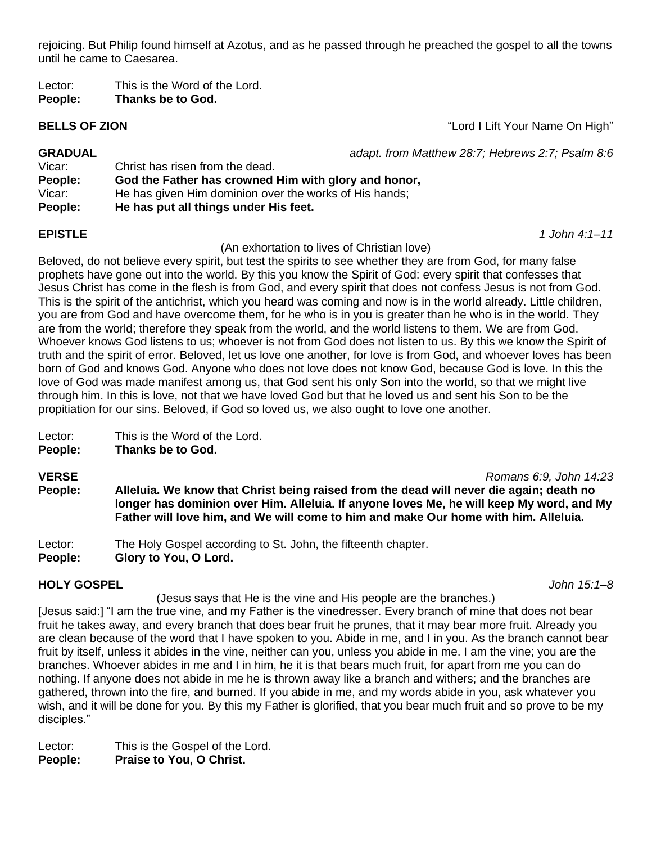rejoicing. But Philip found himself at Azotus, and as he passed through he preached the gospel to all the towns until he came to Caesarea.

Lector: This is the Word of the Lord. **People: Thanks be to God.**

**BELLS OF ZION** THE STRIP STRIP STRIP STRIP TO THE SECOND THAT THE STRIP STRIP STRIP STRIP TO THE STRIP STRIP STRIP STRIP STRIP STRIP STRIP STRIP STRIP STRIP STRIP STRIP STRIP STRIP STRIP STRIP STRIP STRIP STRIP STRIP STRI

**GRADUAL** *adapt. from Matthew 28:7; Hebrews 2:7; Psalm 8:6*

| Vicar:  | Christ has risen from the dead.                        |
|---------|--------------------------------------------------------|
| People: | God the Father has crowned Him with glory and honor,   |
| Vicar:  | He has given Him dominion over the works of His hands; |
| People: | He has put all things under His feet.                  |

# **EPISTLE** *1 John 4:1–11*

# (An exhortation to lives of Christian love)

Beloved, do not believe every spirit, but test the spirits to see whether they are from God, for many false prophets have gone out into the world. By this you know the Spirit of God: every spirit that confesses that Jesus Christ has come in the flesh is from God, and every spirit that does not confess Jesus is not from God. This is the spirit of the antichrist, which you heard was coming and now is in the world already. Little children, you are from God and have overcome them, for he who is in you is greater than he who is in the world. They are from the world; therefore they speak from the world, and the world listens to them. We are from God. Whoever knows God listens to us; whoever is not from God does not listen to us. By this we know the Spirit of truth and the spirit of error. Beloved, let us love one another, for love is from God, and whoever loves has been born of God and knows God. Anyone who does not love does not know God, because God is love. In this the love of God was made manifest among us, that God sent his only Son into the world, so that we might live through him. In this is love, not that we have loved God but that he loved us and sent his Son to be the propitiation for our sins. Beloved, if God so loved us, we also ought to love one another.

| Lector: | This is the Word of the Lord. |  |
|---------|-------------------------------|--|
|         |                               |  |

**People: Thanks be to God.**

**VERSE** *Romans 6:9, John 14:23*

**People: Alleluia. We know that Christ being raised from the dead will never die again; death no longer has dominion over Him. Alleluia. If anyone loves Me, he will keep My word, and My Father will love him, and We will come to him and make Our home with him. Alleluia.**

- Lector: The Holy Gospel according to St. John, the fifteenth chapter.
- **People: Glory to You, O Lord.**

# **HOLY GOSPEL** *John 15:1–8*

(Jesus says that He is the vine and His people are the branches.)

[Jesus said:] "I am the true vine, and my Father is the vinedresser. Every branch of mine that does not bear fruit he takes away, and every branch that does bear fruit he prunes, that it may bear more fruit. Already you are clean because of the word that I have spoken to you. Abide in me, and I in you. As the branch cannot bear fruit by itself, unless it abides in the vine, neither can you, unless you abide in me. I am the vine; you are the branches. Whoever abides in me and I in him, he it is that bears much fruit, for apart from me you can do nothing. If anyone does not abide in me he is thrown away like a branch and withers; and the branches are gathered, thrown into the fire, and burned. If you abide in me, and my words abide in you, ask whatever you wish, and it will be done for you. By this my Father is glorified, that you bear much fruit and so prove to be my disciples."

Lector: This is the Gospel of the Lord. **People: Praise to You, O Christ.**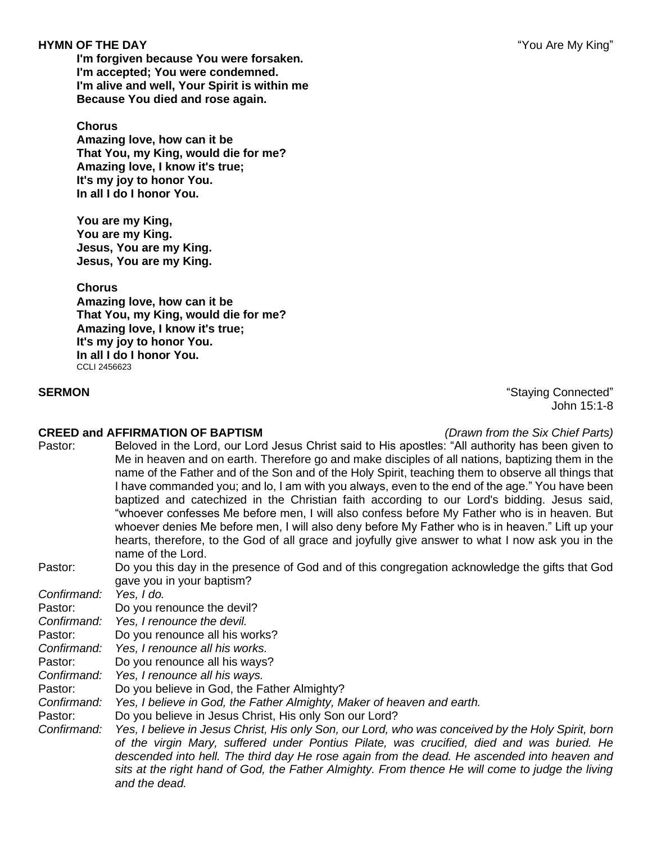## **HYMN OF THE DAY** "You Are My King"

**I'm forgiven because You were forsaken. I'm accepted; You were condemned. I'm alive and well, Your Spirit is within me Because You died and rose again.**

**Chorus**

**Amazing love, how can it be That You, my King, would die for me? Amazing love, I know it's true; It's my joy to honor You. In all I do I honor You.**

**You are my King, You are my King. Jesus, You are my King. Jesus, You are my King.**

**Chorus**

**Amazing love, how can it be That You, my King, would die for me? Amazing love, I know it's true; It's my joy to honor You. In all I do I honor You.** CCLI 2456623

**SERMON** "Staying Connected" John 15:1-8

# **CREED and AFFIRMATION OF BAPTISM** *(Drawn from the Six Chief Parts)*

- Pastor: Beloved in the Lord, our Lord Jesus Christ said to His apostles: "All authority has been given to Me in heaven and on earth. Therefore go and make disciples of all nations, baptizing them in the name of the Father and of the Son and of the Holy Spirit, teaching them to observe all things that I have commanded you; and lo, I am with you always, even to the end of the age." You have been baptized and catechized in the Christian faith according to our Lord's bidding. Jesus said, "whoever confesses Me before men, I will also confess before My Father who is in heaven. But whoever denies Me before men, I will also deny before My Father who is in heaven." Lift up your hearts, therefore, to the God of all grace and joyfully give answer to what I now ask you in the name of the Lord.
- Pastor: Do you this day in the presence of God and of this congregation acknowledge the gifts that God gave you in your baptism?

*Confirmand: Yes, I do.*

Pastor: Do you renounce the devil?

*Confirmand: Yes, I renounce the devil.*

Pastor: Do you renounce all his works?

*Confirmand: Yes, I renounce all his works.*

Pastor: Do you renounce all his ways?

*Confirmand: Yes, I renounce all his ways.*

Pastor: Do you believe in God, the Father Almighty?

*Confirmand: Yes, I believe in God, the Father Almighty, Maker of heaven and earth.*

Pastor: Do you believe in Jesus Christ, His only Son our Lord?

*Confirmand: Yes, I believe in Jesus Christ, His only Son, our Lord, who was conceived by the Holy Spirit, born of the virgin Mary, suffered under Pontius Pilate, was crucified, died and was buried. He descended into hell. The third day He rose again from the dead. He ascended into heaven and sits at the right hand of God, the Father Almighty. From thence He will come to judge the living and the dead.*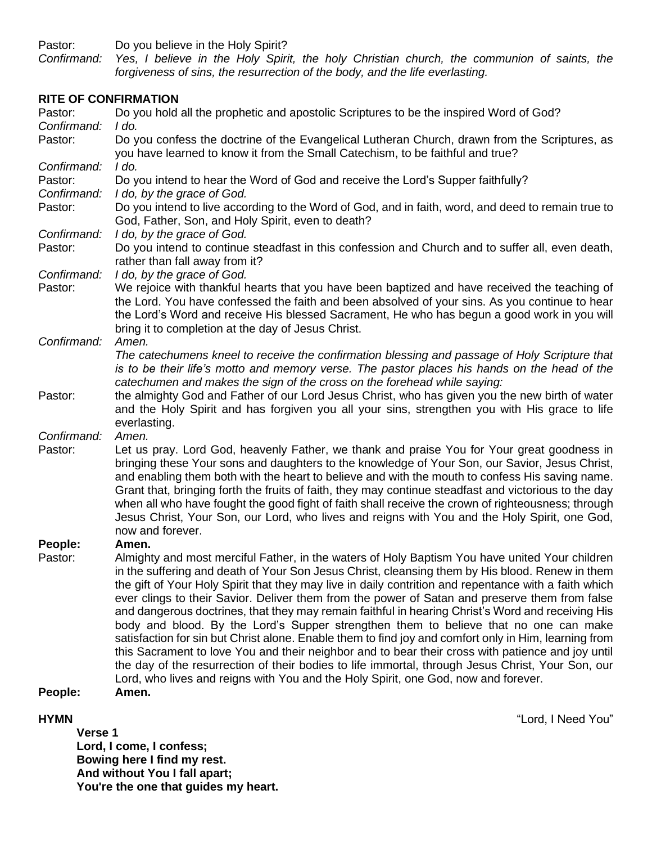Pastor: Do you believe in the Holy Spirit?

*Confirmand: Yes, I believe in the Holy Spirit, the holy Christian church, the communion of saints, the forgiveness of sins, the resurrection of the body, and the life everlasting.*

### **RITE OF CONFIRMATION**

Pastor: Do you hold all the prophetic and apostolic Scriptures to be the inspired Word of God? *Confirmand: I do.* Pastor: Do you confess the doctrine of the Evangelical Lutheran Church, drawn from the Scriptures, as you have learned to know it from the Small Catechism, to be faithful and true? *Confirmand: I do.* Pastor: Do you intend to hear the Word of God and receive the Lord's Supper faithfully? *Confirmand: I do, by the grace of God.* Pastor: Do you intend to live according to the Word of God, and in faith, word, and deed to remain true to God, Father, Son, and Holy Spirit, even to death? *Confirmand: I do, by the grace of God.* Pastor: Do you intend to continue steadfast in this confession and Church and to suffer all, even death, rather than fall away from it? *Confirmand: I do, by the grace of God.* Pastor: We rejoice with thankful hearts that you have been baptized and have received the teaching of the Lord. You have confessed the faith and been absolved of your sins. As you continue to hear the Lord's Word and receive His blessed Sacrament, He who has begun a good work in you will bring it to completion at the day of Jesus Christ. *Confirmand: Amen. The catechumens kneel to receive the confirmation blessing and passage of Holy Scripture that is to be their life's motto and memory verse. The pastor places his hands on the head of the catechumen and makes the sign of the cross on the forehead while saying:* Pastor: the almighty God and Father of our Lord Jesus Christ, who has given you the new birth of water and the Holy Spirit and has forgiven you all your sins, strengthen you with His grace to life everlasting. *Confirmand: Amen.* Pastor: Let us pray. Lord God, heavenly Father, we thank and praise You for Your great goodness in bringing these Your sons and daughters to the knowledge of Your Son, our Savior, Jesus Christ, and enabling them both with the heart to believe and with the mouth to confess His saving name. Grant that, bringing forth the fruits of faith, they may continue steadfast and victorious to the day when all who have fought the good fight of faith shall receive the crown of righteousness; through Jesus Christ, Your Son, our Lord, who lives and reigns with You and the Holy Spirit, one God, now and forever. **People: Amen.** Pastor: Almighty and most merciful Father, in the waters of Holy Baptism You have united Your children in the suffering and death of Your Son Jesus Christ, cleansing them by His blood. Renew in them the gift of Your Holy Spirit that they may live in daily contrition and repentance with a faith which ever clings to their Savior. Deliver them from the power of Satan and preserve them from false and dangerous doctrines, that they may remain faithful in hearing Christ's Word and receiving His body and blood. By the Lord's Supper strengthen them to believe that no one can make satisfaction for sin but Christ alone. Enable them to find joy and comfort only in Him, learning from this Sacrament to love You and their neighbor and to bear their cross with patience and joy until the day of the resurrection of their bodies to life immortal, through Jesus Christ, Your Son, our Lord, who lives and reigns with You and the Holy Spirit, one God, now and forever. **People: Amen.**

**Verse 1 Lord, I come, I confess; Bowing here I find my rest. And without You I fall apart; You're the one that guides my heart.**

**HYMN** "Lord, I Need You"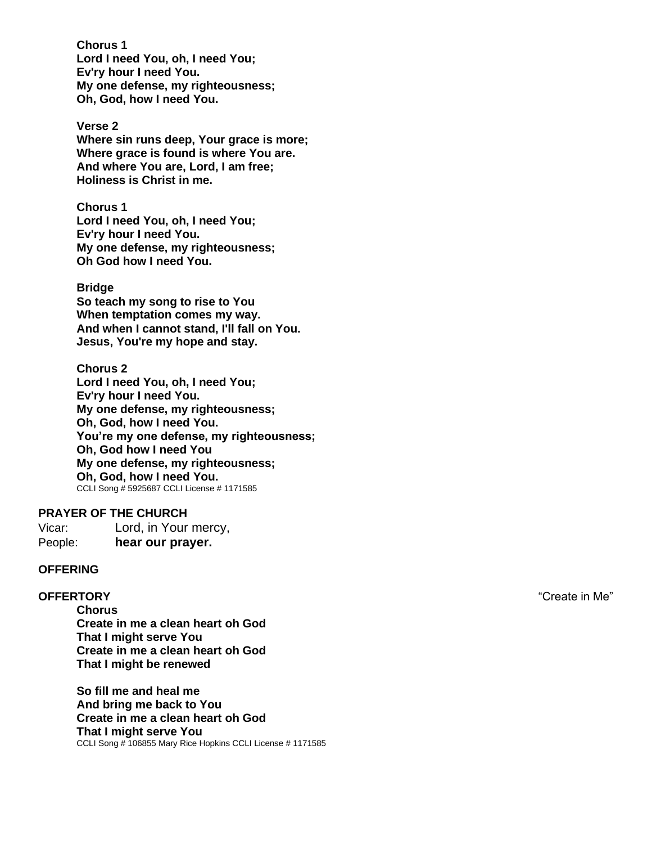**Chorus 1 Lord I need You, oh, I need You; Ev'ry hour I need You. My one defense, my righteousness; Oh, God, how I need You.**

### **Verse 2**

**Where sin runs deep, Your grace is more; Where grace is found is where You are. And where You are, Lord, I am free; Holiness is Christ in me.**

**Chorus 1 Lord I need You, oh, I need You; Ev'ry hour I need You. My one defense, my righteousness; Oh God how I need You.**

### **Bridge**

**So teach my song to rise to You When temptation comes my way. And when I cannot stand, I'll fall on You. Jesus, You're my hope and stay.**

# **Chorus 2**

**Lord I need You, oh, I need You; Ev'ry hour I need You. My one defense, my righteousness; Oh, God, how I need You. You're my one defense, my righteousness; Oh, God how I need You My one defense, my righteousness; Oh, God, how I need You.** CCLI Song # 5925687 CCLI License # 1171585

### **PRAYER OF THE CHURCH**

| Vicar:  | Lord, in Your mercy, |
|---------|----------------------|
| People: | hear our prayer.     |

### **OFFERING**

**Chorus Create in me a clean heart oh God That I might serve You Create in me a clean heart oh God That I might be renewed**

**So fill me and heal me And bring me back to You Create in me a clean heart oh God That I might serve You** CCLI Song # 106855 Mary Rice Hopkins CCLI License # 1171585

**OFFERTORY** "Create in Me"